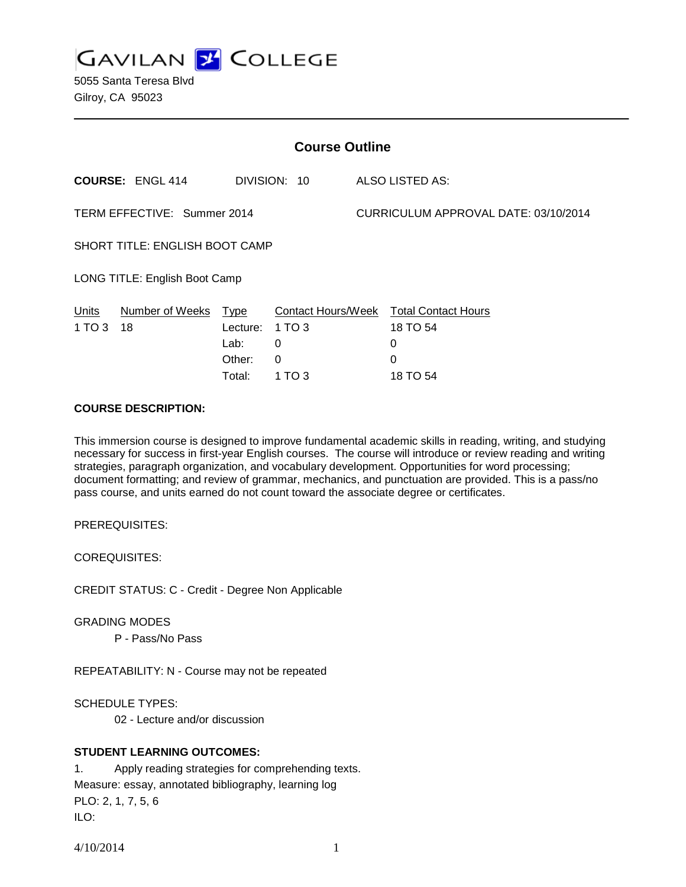**GAVILAN J COLLEGE** 

5055 Santa Teresa Blvd Gilroy, CA 95023

| <b>Course Outline</b>                 |                         |             |                           |                                      |                            |
|---------------------------------------|-------------------------|-------------|---------------------------|--------------------------------------|----------------------------|
|                                       | <b>COURSE: ENGL 414</b> |             | DIVISION: 10              |                                      | ALSO LISTED AS:            |
| TERM EFFECTIVE: Summer 2014           |                         |             |                           | CURRICULUM APPROVAL DATE: 03/10/2014 |                            |
| <b>SHORT TITLE: ENGLISH BOOT CAMP</b> |                         |             |                           |                                      |                            |
| LONG TITLE: English Boot Camp         |                         |             |                           |                                      |                            |
| Units                                 | Number of Weeks         | <b>Type</b> | <b>Contact Hours/Week</b> |                                      | <b>Total Contact Hours</b> |
| 1 TO 3                                | 18                      | Lecture:    | 1 TO 3                    |                                      | 18 TO 54                   |
|                                       |                         | Lab:        | 0                         |                                      | 0                          |
|                                       |                         | Other:      | 0                         |                                      | 0                          |
|                                       |                         | Total:      | 1 TO 3                    |                                      | 18 TO 54                   |

#### **COURSE DESCRIPTION:**

This immersion course is designed to improve fundamental academic skills in reading, writing, and studying necessary for success in first-year English courses. The course will introduce or review reading and writing strategies, paragraph organization, and vocabulary development. Opportunities for word processing; document formatting; and review of grammar, mechanics, and punctuation are provided. This is a pass/no pass course, and units earned do not count toward the associate degree or certificates.

PREREQUISITES:

COREQUISITES:

CREDIT STATUS: C - Credit - Degree Non Applicable

GRADING MODES

P - Pass/No Pass

REPEATABILITY: N - Course may not be repeated

SCHEDULE TYPES:

02 - Lecture and/or discussion

#### **STUDENT LEARNING OUTCOMES:**

1. Apply reading strategies for comprehending texts. Measure: essay, annotated bibliography, learning log PLO: 2, 1, 7, 5, 6 ILO:

4/10/2014 1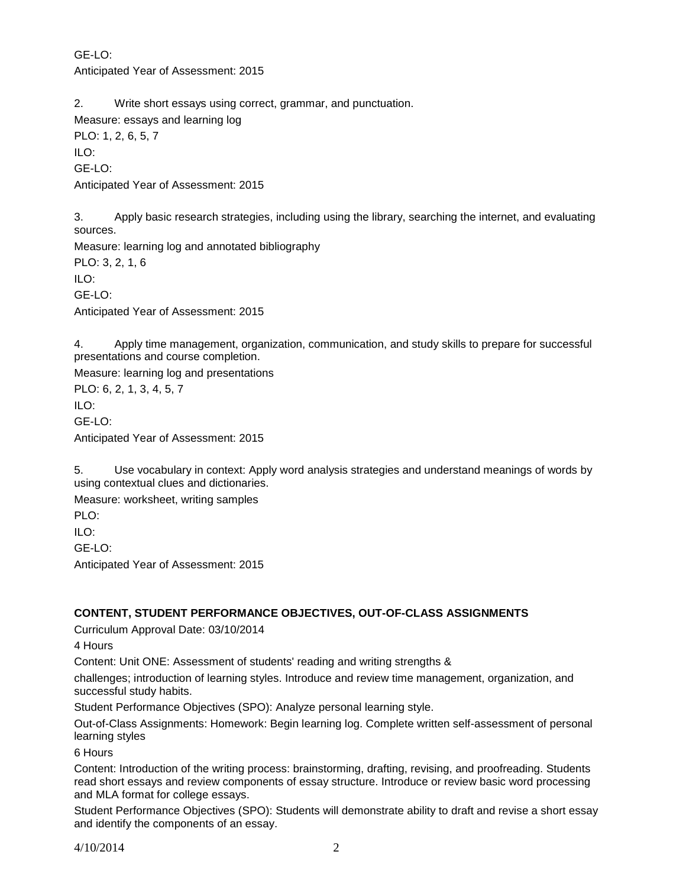GE-LO: Anticipated Year of Assessment: 2015

2. Write short essays using correct, grammar, and punctuation.

Measure: essays and learning log

PLO: 1, 2, 6, 5, 7 ILO: GE-LO: Anticipated Year of Assessment: 2015

3. Apply basic research strategies, including using the library, searching the internet, and evaluating sources.

Measure: learning log and annotated bibliography PLO: 3, 2, 1, 6 ILO: GE-LO: Anticipated Year of Assessment: 2015

4. Apply time management, organization, communication, and study skills to prepare for successful presentations and course completion.

Measure: learning log and presentations PLO: 6, 2, 1, 3, 4, 5, 7  $II$  O: GE-LO: Anticipated Year of Assessment: 2015

5. Use vocabulary in context: Apply word analysis strategies and understand meanings of words by using contextual clues and dictionaries.

Measure: worksheet, writing samples

PLO:

ILO:

 $GF-I O<sup>2</sup>$ 

Anticipated Year of Assessment: 2015

# **CONTENT, STUDENT PERFORMANCE OBJECTIVES, OUT-OF-CLASS ASSIGNMENTS**

Curriculum Approval Date: 03/10/2014

4 Hours

Content: Unit ONE: Assessment of students' reading and writing strengths &

challenges; introduction of learning styles. Introduce and review time management, organization, and successful study habits.

Student Performance Objectives (SPO): Analyze personal learning style.

Out-of-Class Assignments: Homework: Begin learning log. Complete written self-assessment of personal learning styles

6 Hours

Content: Introduction of the writing process: brainstorming, drafting, revising, and proofreading. Students read short essays and review components of essay structure. Introduce or review basic word processing and MLA format for college essays.

Student Performance Objectives (SPO): Students will demonstrate ability to draft and revise a short essay and identify the components of an essay.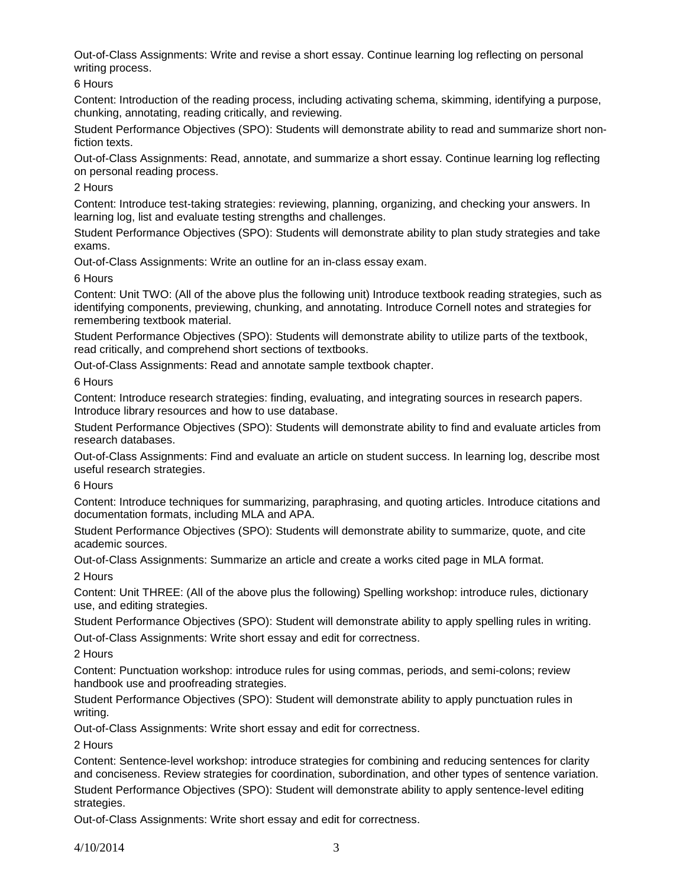Out-of-Class Assignments: Write and revise a short essay. Continue learning log reflecting on personal writing process.

6 Hours

Content: Introduction of the reading process, including activating schema, skimming, identifying a purpose, chunking, annotating, reading critically, and reviewing.

Student Performance Objectives (SPO): Students will demonstrate ability to read and summarize short nonfiction texts.

Out-of-Class Assignments: Read, annotate, and summarize a short essay. Continue learning log reflecting on personal reading process.

2 Hours

Content: Introduce test-taking strategies: reviewing, planning, organizing, and checking your answers. In learning log, list and evaluate testing strengths and challenges.

Student Performance Objectives (SPO): Students will demonstrate ability to plan study strategies and take exams.

Out-of-Class Assignments: Write an outline for an in-class essay exam.

6 Hours

Content: Unit TWO: (All of the above plus the following unit) Introduce textbook reading strategies, such as identifying components, previewing, chunking, and annotating. Introduce Cornell notes and strategies for remembering textbook material.

Student Performance Objectives (SPO): Students will demonstrate ability to utilize parts of the textbook, read critically, and comprehend short sections of textbooks.

Out-of-Class Assignments: Read and annotate sample textbook chapter.

6 Hours

Content: Introduce research strategies: finding, evaluating, and integrating sources in research papers. Introduce library resources and how to use database.

Student Performance Objectives (SPO): Students will demonstrate ability to find and evaluate articles from research databases.

Out-of-Class Assignments: Find and evaluate an article on student success. In learning log, describe most useful research strategies.

6 Hours

Content: Introduce techniques for summarizing, paraphrasing, and quoting articles. Introduce citations and documentation formats, including MLA and APA.

Student Performance Objectives (SPO): Students will demonstrate ability to summarize, quote, and cite academic sources.

Out-of-Class Assignments: Summarize an article and create a works cited page in MLA format.

2 Hours

Content: Unit THREE: (All of the above plus the following) Spelling workshop: introduce rules, dictionary use, and editing strategies.

Student Performance Objectives (SPO): Student will demonstrate ability to apply spelling rules in writing. Out-of-Class Assignments: Write short essay and edit for correctness.

2 Hours

Content: Punctuation workshop: introduce rules for using commas, periods, and semi-colons; review handbook use and proofreading strategies.

Student Performance Objectives (SPO): Student will demonstrate ability to apply punctuation rules in writing.

Out-of-Class Assignments: Write short essay and edit for correctness.

2 Hours

Content: Sentence-level workshop: introduce strategies for combining and reducing sentences for clarity and conciseness. Review strategies for coordination, subordination, and other types of sentence variation. Student Performance Objectives (SPO): Student will demonstrate ability to apply sentence-level editing strategies.

Out-of-Class Assignments: Write short essay and edit for correctness.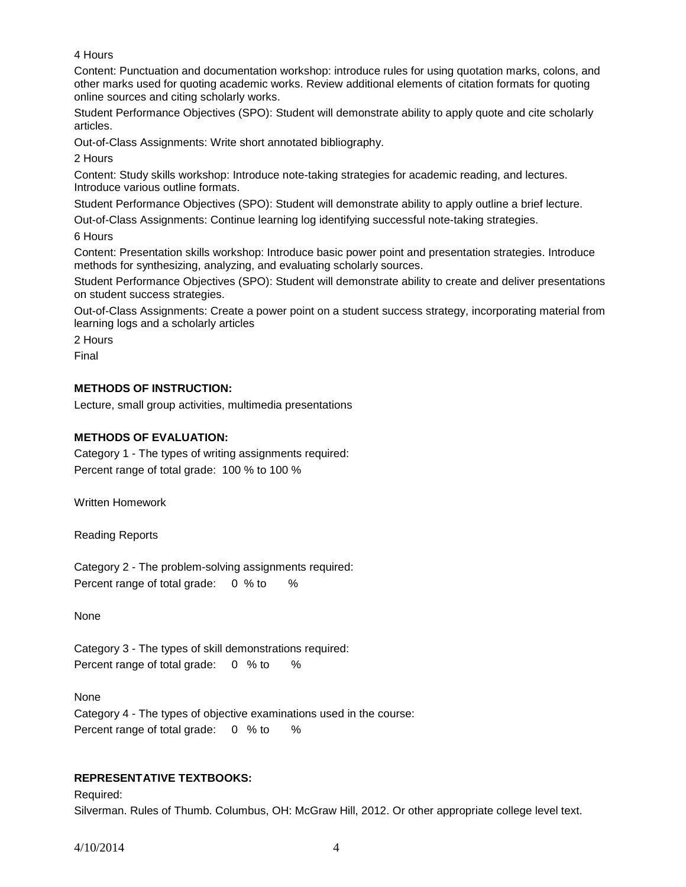4 Hours

Content: Punctuation and documentation workshop: introduce rules for using quotation marks, colons, and other marks used for quoting academic works. Review additional elements of citation formats for quoting online sources and citing scholarly works.

Student Performance Objectives (SPO): Student will demonstrate ability to apply quote and cite scholarly articles.

Out-of-Class Assignments: Write short annotated bibliography.

2 Hours

Content: Study skills workshop: Introduce note-taking strategies for academic reading, and lectures. Introduce various outline formats.

Student Performance Objectives (SPO): Student will demonstrate ability to apply outline a brief lecture.

Out-of-Class Assignments: Continue learning log identifying successful note-taking strategies.

6 Hours

Content: Presentation skills workshop: Introduce basic power point and presentation strategies. Introduce methods for synthesizing, analyzing, and evaluating scholarly sources.

Student Performance Objectives (SPO): Student will demonstrate ability to create and deliver presentations on student success strategies.

Out-of-Class Assignments: Create a power point on a student success strategy, incorporating material from learning logs and a scholarly articles

2 Hours

Final

# **METHODS OF INSTRUCTION:**

Lecture, small group activities, multimedia presentations

# **METHODS OF EVALUATION:**

Category 1 - The types of writing assignments required: Percent range of total grade: 100 % to 100 %

Written Homework

Reading Reports

Category 2 - The problem-solving assignments required: Percent range of total grade: 0 % to %

None

Category 3 - The types of skill demonstrations required: Percent range of total grade: 0 % to %

None Category 4 - The types of objective examinations used in the course: Percent range of total grade: 0 % to %

# **REPRESENTATIVE TEXTBOOKS:**

Required: Silverman. Rules of Thumb. Columbus, OH: McGraw Hill, 2012. Or other appropriate college level text.